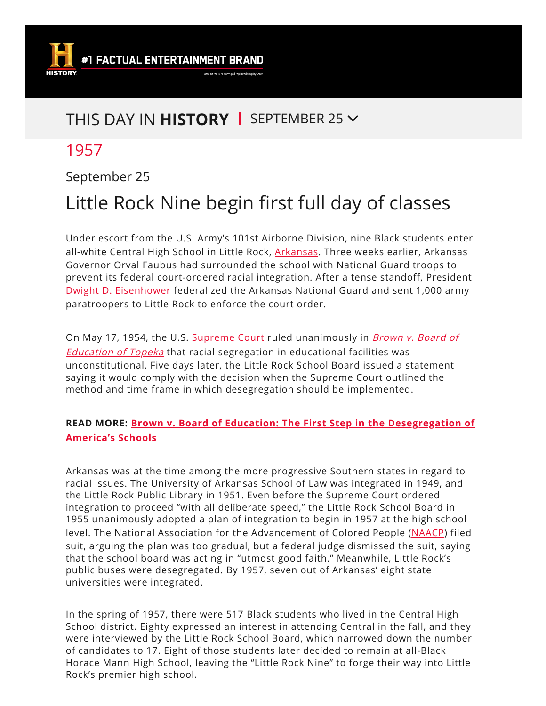

# THIS DAY IN **HISTORY** | SEPTEMBER 25  $\vee$

# 1957

#### September 25

# Little Rock Nine begin first full day of classes

Under escort from the U.S. Army's 101st Airborne Division, nine Black students enter all-white Central High School in Little Rock, [Arkansas](https://www.history.com/topics/us-states/arkansas). Three weeks earlier, Arkansas Governor Orval Faubus had surrounded the school with National Guard troops to prevent its federal court-ordered racial integration. After a tense standoff, President Dwight D. [Eisenhower](https://www.history.com/topics/us-presidents/dwight-d-eisenhower) federalized the Arkansas National Guard and sent 1,000 army paratroopers to Little Rock to enforce the court order.

On May 17, 1954, the U.S. [Supreme](https://www.history.com/topics/supreme-court-facts) Court ruled [unanimously](https://www.history.com/topics/black-history/brown-v-board-of-education-of-topeka) in *Brown v. Board of* **Education of Topeka** that racial segregation in educational facilities was unconstitutional. Five days later, the Little Rock School Board issued a statement saying it would comply with the decision when the Supreme Court outlined the method and time frame in which desegregation should be implemented.

#### **READ MORE: Brown v. Board of Education: The First Step in the [Desegregation](https://www.history.com/news/brown-v-board-of-education-the-first-step-in-the-desegregation-of-americas-schools) of America's Schools**

Arkansas was at the time among the more progressive Southern states in regard to racial issues. The University of Arkansas School of Law was integrated in 1949, and the Little Rock Public Library in 1951. Even before the Supreme Court ordered integration to proceed "with all deliberate speed," the Little Rock School Board in 1955 unanimously adopted a plan of integration to begin in 1957 at the high school level. The National Association for the Advancement of Colored People ([NAACP\)](https://www.history.com/topics/naacp) filed suit, arguing the plan was too gradual, but a federal judge dismissed the suit, saying that the school board was acting in "utmost good faith." Meanwhile, Little Rock's public buses were desegregated. By 1957, seven out of Arkansas' eight state universities were integrated.

In the spring of 1957, there were 517 Black students who lived in the Central High School district. Eighty expressed an interest in attending Central in the fall, and they were interviewed by the Little Rock School Board, which narrowed down the number of candidates to 17. Eight of those students later decided to remain at all-Black Horace Mann High School, leaving the "Little Rock Nine" to forge their way into Little Rock's premier high school.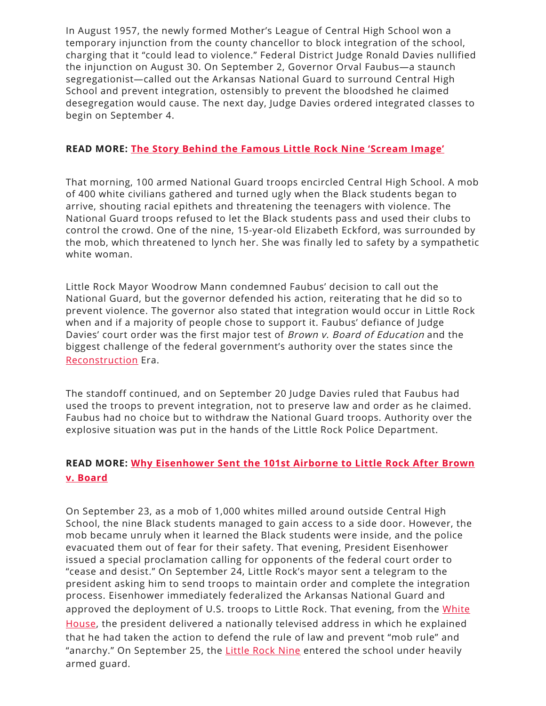In August 1957, the newly formed Mother's League of Central High School won a temporary injunction from the county chancellor to block integration of the school, charging that it "could lead to violence." Federal District Judge Ronald Davies nullified the injunction on August 30. On September 2, Governor Orval Faubus—a staunch segregationist—called out the Arkansas National Guard to surround Central High School and prevent integration, ostensibly to prevent the bloodshed he claimed desegregation would cause. The next day, Judge Davies ordered integrated classes to begin on September 4.

#### **READ MORE: The Story Behind the Famous Little Rock Nine ['Scream](https://www.history.com/news/the-story-behind-the-famous-little-rock-nine-scream-image) Image'**

That morning, 100 armed National Guard troops encircled Central High School. A mob of 400 white civilians gathered and turned ugly when the Black students began to arrive, shouting racial epithets and threatening the teenagers with violence. The National Guard troops refused to let the Black students pass and used their clubs to control the crowd. One of the nine, 15-year-old Elizabeth Eckford, was surrounded by the mob, which threatened to lynch her. She was finally led to safety by a sympathetic white woman.

Little Rock Mayor Woodrow Mann condemned Faubus' decision to call out the National Guard, but the governor defended his action, reiterating that he did so to prevent violence. The governor also stated that integration would occur in Little Rock when and if a majority of people chose to support it. Faubus' defiance of Judge Davies' court order was the first major test of Brown v. Board of Education and the biggest challenge of the federal government's authority over the states since the [Reconstruction](https://www.history.com/topics/american-civil-war/reconstruction) Era.

The standoff continued, and on September 20 Judge Davies ruled that Faubus had used the troops to prevent integration, not to preserve law and order as he claimed. Faubus had no choice but to withdraw the National Guard troops. Authority over the explosive situation was put in the hands of the Little Rock Police Department.

#### **READ MORE: Why [Eisenhower](https://www.history.com/news/little-rock-nine-brown-v-board-eisenhower-101-airborne) Sent the 101st Airborne to Little Rock After Brown v. Board**

On September 23, as a mob of 1,000 whites milled around outside Central High School, the nine Black students managed to gain access to a side door. However, the mob became unruly when it learned the Black students were inside, and the police evacuated them out of fear for their safety. That evening, President Eisenhower issued a special proclamation calling for opponents of the federal court order to "cease and desist." On September 24, Little Rock's mayor sent a telegram to the president asking him to send troops to maintain order and complete the integration process. Eisenhower immediately federalized the Arkansas National Guard and approved the [deployment](https://www.history.com/topics/white-house) of U.S. troops to Little Rock. That evening, from the White House, the president delivered a nationally televised address in which he explained that he had taken the action to defend the rule of law and prevent "mob rule" and "anarchy." On September 25, the [Little](https://www.history.com/topics/black-history/central-high-school-integration) Rock Nine entered the school under heavily armed guard.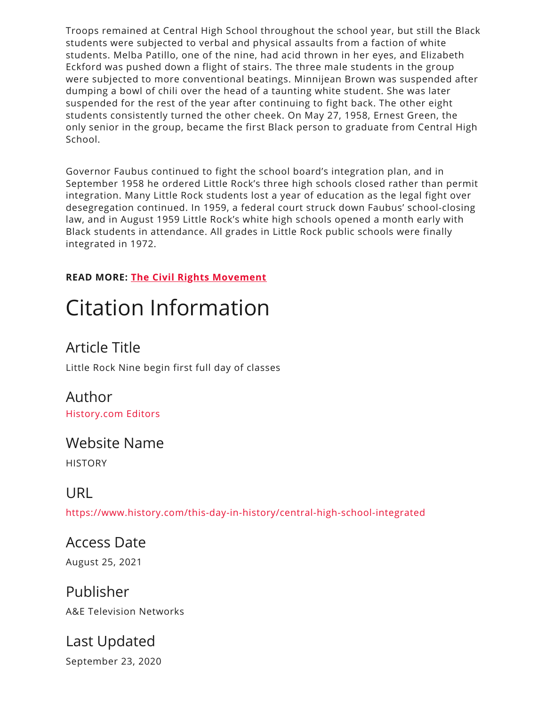Troops remained at Central High School throughout the school year, but still the Black students were subjected to verbal and physical assaults from a faction of white students. Melba Patillo, one of the nine, had acid thrown in her eyes, and Elizabeth Eckford was pushed down a flight of stairs. The three male students in the group were subjected to more conventional beatings. Minnijean Brown was suspended after dumping a bowl of chili over the head of a taunting white student. She was later suspended for the rest of the year after continuing to fight back. The other eight students consistently turned the other cheek. On May 27, 1958, Ernest Green, the only senior in the group, became the first Black person to graduate from Central High School.

Governor Faubus continued to fight the school board's integration plan, and in September 1958 he ordered Little Rock's three high schools closed rather than permit integration. Many Little Rock students lost a year of education as the legal fight over desegregation continued. In 1959, a federal court struck down Faubus' school-closing law, and in August 1959 Little Rock's white high schools opened a month early with Black students in attendance. All grades in Little Rock public schools were finally integrated in 1972.

#### **READ MORE: The Civil Rights [Movement](https://www.history.com/topics/black-history/civil-rights-movement)**

# Citation Information

## Article Title

Little Rock Nine begin first full day of classes

# Author

[History.com](https://www.history.com/author/history) Editors

#### Website Name

**HISTORY** 

### URL

<https://www.history.com/this-day-in-history/central-high-school-integrated>

## Access Date

August 25, 2021

#### Publisher A&E Television Networks

### Last Updated September 23, 2020